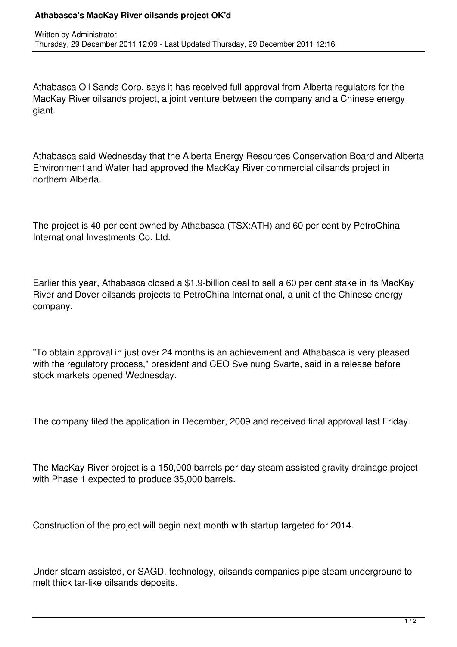## **Athabasca's MacKay River oilsands project OK'd**

Athabasca Oil Sands Corp. says it has received full approval from Alberta regulators for the MacKay River oilsands project, a joint venture between the company and a Chinese energy giant.

Athabasca said Wednesday that the Alberta Energy Resources Conservation Board and Alberta Environment and Water had approved the MacKay River commercial oilsands project in northern Alberta.

The project is 40 per cent owned by Athabasca (TSX:ATH) and 60 per cent by PetroChina International Investments Co. Ltd.

Earlier this year, Athabasca closed a \$1.9-billion deal to sell a 60 per cent stake in its MacKay River and Dover oilsands projects to PetroChina International, a unit of the Chinese energy company.

"To obtain approval in just over 24 months is an achievement and Athabasca is very pleased with the regulatory process," president and CEO Sveinung Svarte, said in a release before stock markets opened Wednesday.

The company filed the application in December, 2009 and received final approval last Friday.

The MacKay River project is a 150,000 barrels per day steam assisted gravity drainage project with Phase 1 expected to produce 35,000 barrels.

Construction of the project will begin next month with startup targeted for 2014.

Under steam assisted, or SAGD, technology, oilsands companies pipe steam underground to melt thick tar-like oilsands deposits.